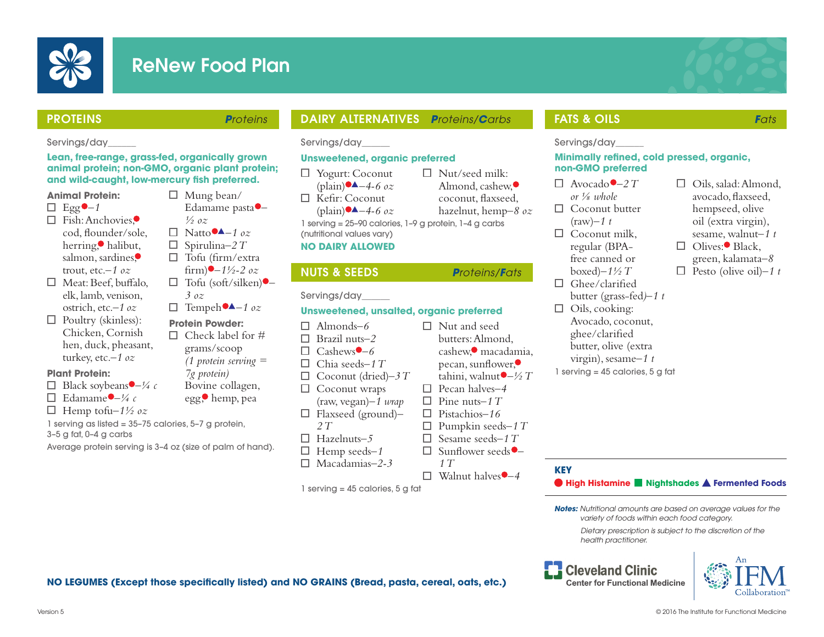

# ReNew Food Plan

 $\Box$  Mung bean/

*½ oz*   $\Box$  Natto  $\blacktriangle - 1$  oz Spirulina*–2 T*  $\Box$  Tofu (firm/extra)  $firm$  **–**  $1\frac{1}{2}$  – 2 *oz* Tofu (soft/silken) *–*

Edamame pasta *–*



# PROTEINS *Proteins*

#### Servings/day\_\_\_\_\_\_

**Lean, free-range, grass-fed, organically grown animal protein; non-GMO, organic plant protein;**  and wild-caught, low-mercury fish preferred.

# **Animal Protein:**

- $\Box$  Egg<sup> $\bullet$ </sup>-1
- $\Box$  Fish: Anchovies $\bullet$ cod, flounder/sole, herring, halibut, salmon, sardines, trout, etc.*–1 oz*
- $\Box$  Meat: Beef, buffalo, elk, lamb, venison, ostrich, etc.*–1 oz*
- $\Box$  Poultry (skinless): Chicken, Cornish hen, duck, pheasant, turkey, etc.*–1 oz*

## **Plant Protein:**

- $\Box$  Black soybeans  $\Box$  4 c
- $\Box$  Edamame  $\bigcup_{\mathcal{H}} c$
- $\Box$  Hemp tofu- $1\frac{1}{2}$  oz
- 1 serving as listed = 35–75 calories, 5–7 g protein,
- 3–5 g fat, 0–4 g carbs

Average protein serving is 3–4 oz (size of palm of hand).

# DAIRY ALTERNATIVES *Proteins/Carbs*

Servings/day\_\_\_\_\_\_

# **Unsweetened, organic preferred**

- Yogurt: Coconut  $(\text{plain}) \rightarrow -4-6$  oz  $\Box$  Kefir: Coconut
	- $(\text{plain}) \rightarrow -4-6$  *oz*

1 serving = 25–90 calories, 1–9 g protein, 1–4 g carbs (nutritional values vary)

 $\Box$  Nut/seed milk: Almond, cashew, coconut, flaxseed. hazelnut, hemp*–8 oz*

## **NO DAIRY ALLOWED**

# NUTS & SEEDS *Proteins/Fats*

#### Servings/day\_\_\_\_\_\_

# **Unsweetened, unsalted, organic preferred**

 Almonds*–6* Brazil nuts*–2*  $\Box$  Cashews<sup> $\bigcirc$ </sup>-6 Chia seeds*–1 T* Coconut (dried)*–3 T*  $\Box$  Coconut wraps (raw, vegan)*–1 wrap* Flaxseed (ground)*– 2 T* Hazelnuts*–5* Hemp seeds*–1* Macadamias*–2-3* Nut and seed butters: Almond, cashew,<sup>•</sup> macadamia,  $pecan$ , sunflower, $\bullet$ tahini, walnut $\bullet$  – ½ T Pecan halves*–4* Pine nuts*–1 T* Pistachios*–16* Pumpkin seeds*–1 T* Sesame seeds*–1 T* □ Sunflower seeds<sup>●</sup>  *1 T*  $\Box$  Walnut halves  $\bullet$  -4

1 serving = 45 calories, 5 g fat

# FATS & OILS *Fats*

Servings/day\_\_\_\_\_\_

#### **Minimally refined, cold pressed, organic, non-GMO preferred**

- $\Box$  Avocado $\bullet$  -2 T *or ⅛ whole*
- $\Box$  Coconut butter
- (raw)*–1 t*  $\Box$  Coconut milk,
- regular (BPAfree canned or boxed)*–1½ T*
- $\Box$  Ghee/clarified
- butter (grass-fed*)–1 t*   $\Box$  Oils, cooking:
- Avocado, coconut, ghee/clarified butter, olive (extra virgin), sesame*–1 t*
- 1 serving = 45 calories, 5 g fat
- $\Box$  Oils, salad: Almond, avocado, flaxseed, hempseed, olive oil (extra virgin), sesame, walnut*–1 t*
- $\Box$  Olives: Black, green, kalamata*–8*
- $\Box$  Pesto (olive oil)–1 t

#### *variety of foods within each food category. Dietary prescription is subject to the discretion of the health practitioner.*

*Notes: Nutritional amounts are based on average values for the* 

**High Histamine Nightshades A Fermented Foods** 

**Cleveland Clinic Center for Functional Medicine** 

**KEY**



**NO LEGUMES (Except those specifically listed) and NO GRAINS (Bread, pasta, cereal, oats, etc.)** 

*3 oz*  $\Box$  Tempeh  $\blacktriangle -1$  *oz* **Protein Powder:**  $\Box$  Check label for # grams/scoop *(1 protein serving = 7g protein)* Bovine collagen, egg, hemp, pea